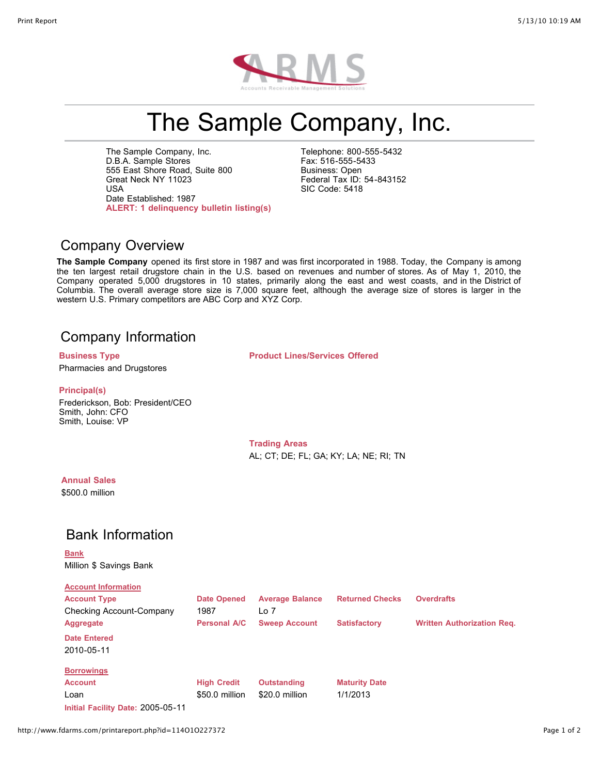

# The Sample Company, Inc.

The Sample Company, Inc. D.B.A. Sample Stores 555 East Shore Road, Suite 800 Great Neck NY 11023 USA Date Established: 1987 **ALERT: 1 delinquency bulletin listing(s)**

Telephone: 800-555-5432 Fax: 516-555-5433 Business: Open Federal Tax ID: 54-843152 SIC Code: 5418

#### Company Overview

**The Sample Company** opened its first store in 1987 and was first incorporated in 1988. Today, the Company is among the ten largest retail drugstore chain in the U.S. based on revenues and number of stores. As of May 1, 2010, the Company operated 5,000 drugstores in 10 states, primarily along the east and west coasts, and in the District of Columbia. The overall average store size is 7,000 square feet, although the average size of stores is larger in the western U.S. Primary competitors are ABC Corp and XYZ Corp.

#### Company Information

Pharmacies and Drugstores

**Business Type Product Lines/Services Offered**

#### **Principal(s)**

Frederickson, Bob: President/CEO Smith, John: CFO Smith, Louise: VP

> **Trading Areas** AL; CT; DE; FL; GA; KY; LA; NE; RI; TN

#### **Annual Sales**

\$500.0 million

## Bank Information

**Bank** Million \$ Savings Bank

| <b>Account Information</b>        |                     |                        |                        |                                   |
|-----------------------------------|---------------------|------------------------|------------------------|-----------------------------------|
| <b>Account Type</b>               | <b>Date Opened</b>  | <b>Average Balance</b> | <b>Returned Checks</b> | <b>Overdrafts</b>                 |
| Checking Account-Company          | 1987                | Lo 7                   |                        |                                   |
| Aggregate                         | <b>Personal A/C</b> | <b>Sweep Account</b>   | <b>Satisfactory</b>    | <b>Written Authorization Reg.</b> |
| <b>Date Entered</b>               |                     |                        |                        |                                   |
| 2010-05-11                        |                     |                        |                        |                                   |
| <b>Borrowings</b>                 |                     |                        |                        |                                   |
| <b>Account</b>                    | <b>High Credit</b>  | <b>Outstanding</b>     | <b>Maturity Date</b>   |                                   |
| Loan                              | \$50.0 million      | \$20.0 million         | 1/1/2013               |                                   |
| Initial Facility Date: 2005-05-11 |                     |                        |                        |                                   |